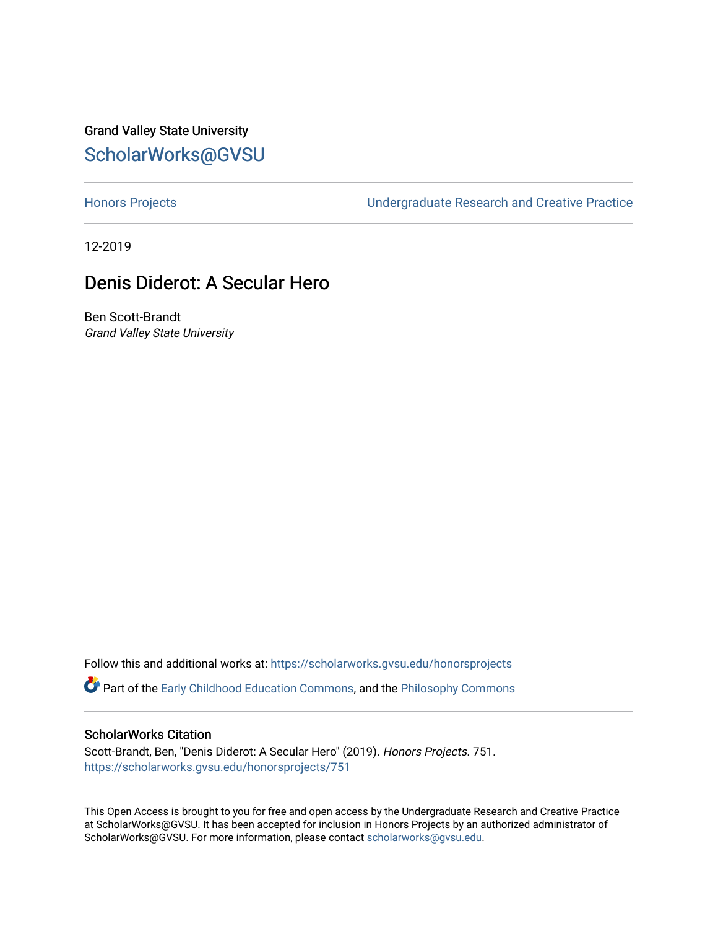# Grand Valley State University [ScholarWorks@GVSU](https://scholarworks.gvsu.edu/)

[Honors Projects](https://scholarworks.gvsu.edu/honorsprojects) [Undergraduate Research and Creative Practice](https://scholarworks.gvsu.edu/urcp) 

12-2019

# Denis Diderot: A Secular Hero

Ben Scott-Brandt Grand Valley State University

Follow this and additional works at: [https://scholarworks.gvsu.edu/honorsprojects](https://scholarworks.gvsu.edu/honorsprojects?utm_source=scholarworks.gvsu.edu%2Fhonorsprojects%2F751&utm_medium=PDF&utm_campaign=PDFCoverPages) 

Part of the [Early Childhood Education Commons,](http://network.bepress.com/hgg/discipline/1377?utm_source=scholarworks.gvsu.edu%2Fhonorsprojects%2F751&utm_medium=PDF&utm_campaign=PDFCoverPages) and the [Philosophy Commons](http://network.bepress.com/hgg/discipline/525?utm_source=scholarworks.gvsu.edu%2Fhonorsprojects%2F751&utm_medium=PDF&utm_campaign=PDFCoverPages) 

#### ScholarWorks Citation

Scott-Brandt, Ben, "Denis Diderot: A Secular Hero" (2019). Honors Projects. 751. [https://scholarworks.gvsu.edu/honorsprojects/751](https://scholarworks.gvsu.edu/honorsprojects/751?utm_source=scholarworks.gvsu.edu%2Fhonorsprojects%2F751&utm_medium=PDF&utm_campaign=PDFCoverPages) 

This Open Access is brought to you for free and open access by the Undergraduate Research and Creative Practice at ScholarWorks@GVSU. It has been accepted for inclusion in Honors Projects by an authorized administrator of ScholarWorks@GVSU. For more information, please contact [scholarworks@gvsu.edu](mailto:scholarworks@gvsu.edu).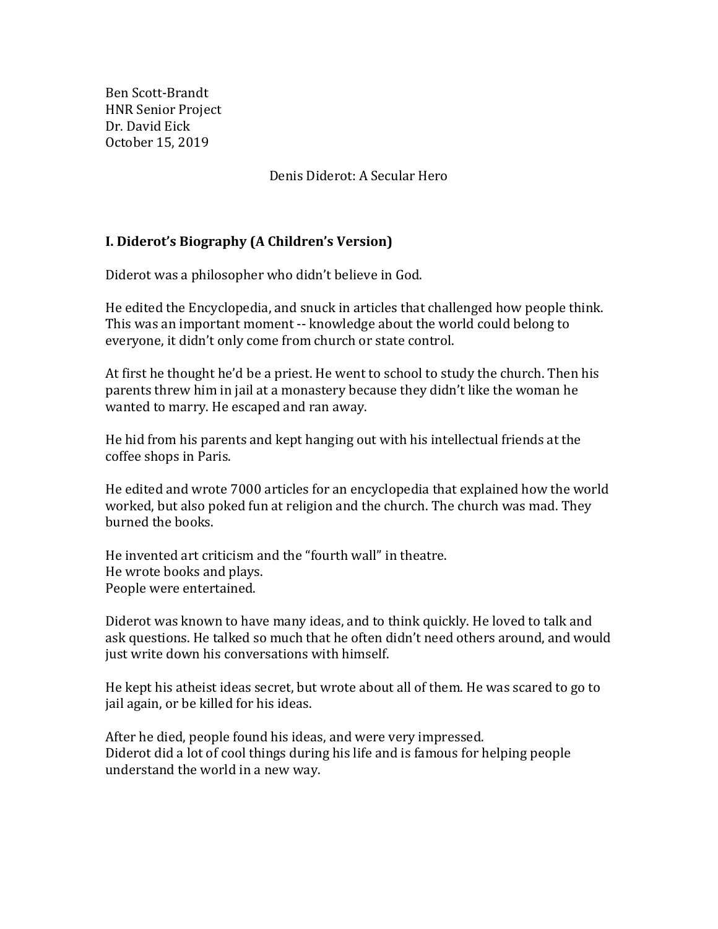Ben Scott-Brandt HNR Senior Project Dr. David Eick October 15, 2019

Denis Diderot: A Secular Hero

## **I. Diderot's Biography (A Children's Version)**

Diderot was a philosopher who didn't believe in God.

He edited the Encyclopedia, and snuck in articles that challenged how people think. This was an important moment -- knowledge about the world could belong to everyone, it didn't only come from church or state control.

At first he thought he'd be a priest. He went to school to study the church. Then his parents threw him in jail at a monastery because they didn't like the woman he wanted to marry. He escaped and ran away.

He hid from his parents and kept hanging out with his intellectual friends at the coffee shops in Paris.

He edited and wrote 7000 articles for an encyclopedia that explained how the world worked, but also poked fun at religion and the church. The church was mad. They burned the books.

He invented art criticism and the "fourth wall" in theatre. He wrote books and plays. People were entertained.

Diderot was known to have many ideas, and to think quickly. He loved to talk and ask questions. He talked so much that he often didn't need others around, and would just write down his conversations with himself.

He kept his atheist ideas secret, but wrote about all of them. He was scared to go to jail again, or be killed for his ideas.

After he died, people found his ideas, and were very impressed. Diderot did a lot of cool things during his life and is famous for helping people understand the world in a new way.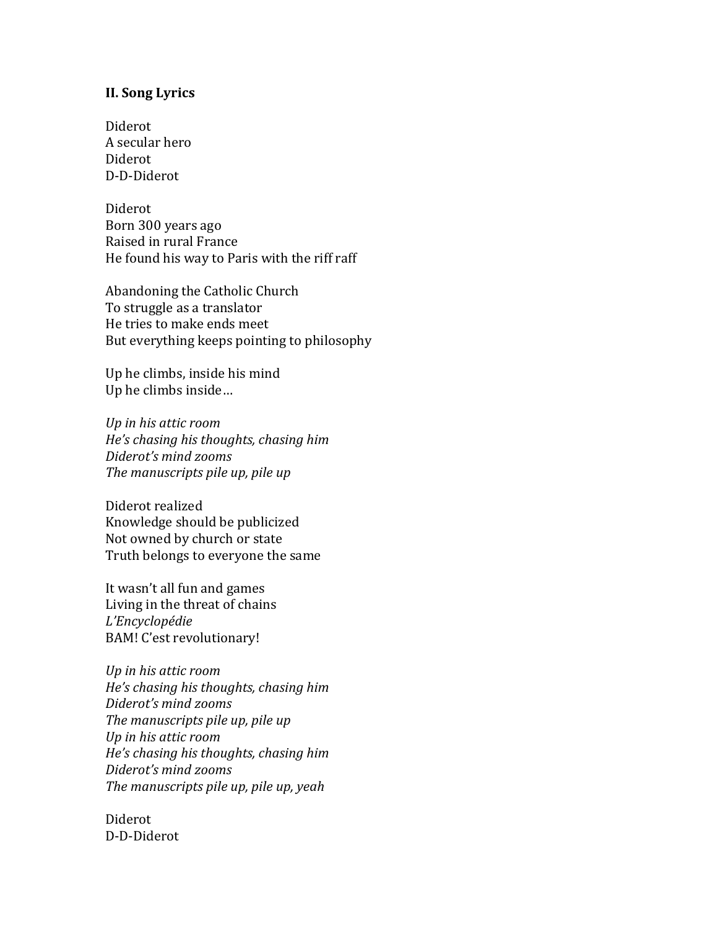### **II. Song Lyrics**

Diderot A secular hero Diderot D-D-Diderot

Diderot Born 300 years ago Raised in rural France He found his way to Paris with the riff raff

Abandoning the Catholic Church To struggle as a translator He tries to make ends meet But everything keeps pointing to philosophy

Up he climbs, inside his mind Up he climbs inside…

*Up in his attic room He's chasing his thoughts, chasing him Diderot's mind zooms The manuscripts pile up, pile up*

Diderot realized Knowledge should be publicized Not owned by church or state Truth belongs to everyone the same

It wasn't all fun and games Living in the threat of chains *L'Encyclopédie*  BAM! C'est revolutionary!

*Up in his attic room He's chasing his thoughts, chasing him Diderot's mind zooms The manuscripts pile up, pile up Up in his attic room He's chasing his thoughts, chasing him Diderot's mind zooms The manuscripts pile up, pile up, yeah*

Diderot D-D-Diderot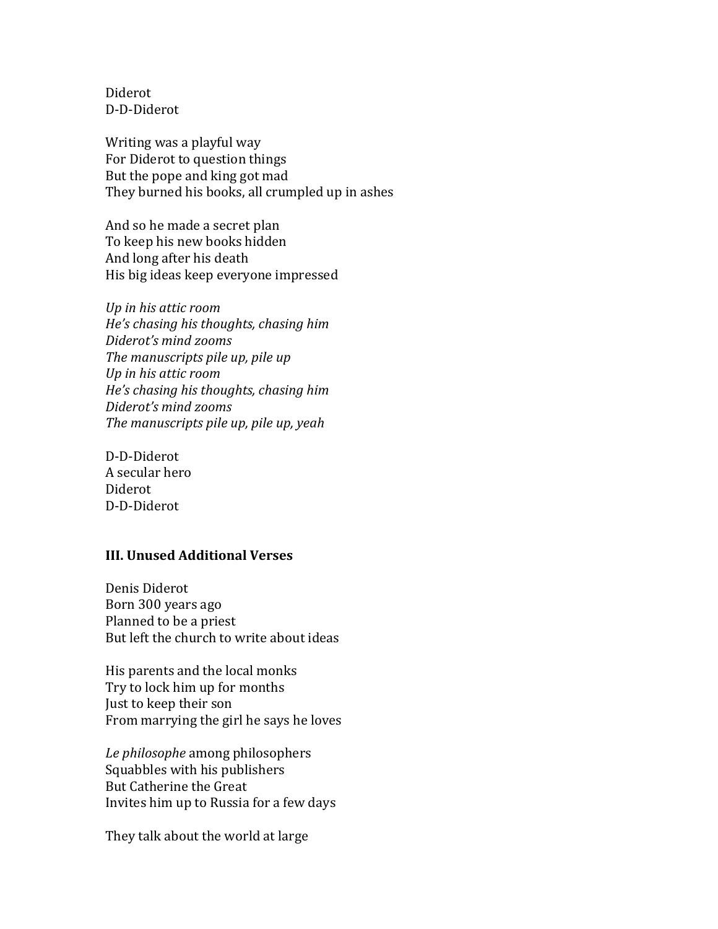Diderot D-D-Diderot

Writing was a playful way For Diderot to question things But the pope and king got mad They burned his books, all crumpled up in ashes

And so he made a secret plan To keep his new books hidden And long after his death His big ideas keep everyone impressed

*Up in his attic room He's chasing his thoughts, chasing him Diderot's mind zooms The manuscripts pile up, pile up Up in his attic room He's chasing his thoughts, chasing him Diderot's mind zooms The manuscripts pile up, pile up, yeah*

D-D-Diderot A secular hero Diderot D-D-Diderot

### **III. Unused Additional Verses**

Denis Diderot Born 300 years ago Planned to be a priest But left the church to write about ideas

His parents and the local monks Try to lock him up for months Just to keep their son From marrying the girl he says he loves

*Le philosophe* among philosophers Squabbles with his publishers But Catherine the Great Invites him up to Russia for a few days

They talk about the world at large